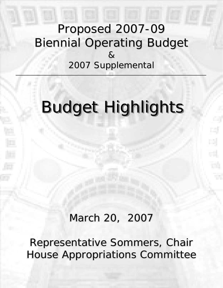## Proposed 2007-09 **Biennial Operating Budget** & 2007 Supplemental 2007 Supplemental

# **Budget Highlights**

## March 20, 2007

Representative Sommers, Chair House Appropriations Committee House Appropriations Committee House Appropriations Committee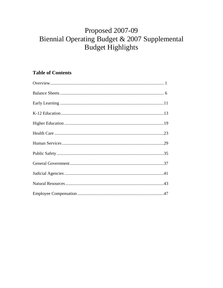## Proposed 2007-09 Biennial Operating Budget & 2007 Supplemental **Budget Highlights**

### **Table of Contents**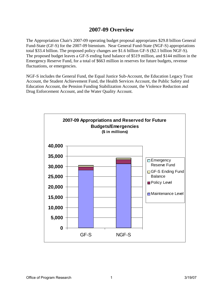### **2007-09 Overview**

The Appropriation Chair's 2007-09 operating budget proposal appropriates \$29.8 billion General Fund-State (GF-S) for the 2007-09 biennium. Near General Fund-State (NGF-S) appropriations total \$33.4 billion. The proposed policy changes are \$1.6 billion GF-S (\$2.1 billion NGF-S). The proposed budget leaves a GF-S ending fund balance of \$519 million, and \$144 million in the Emergency Reserve Fund, for a total of \$663 million in reserves for future budgets, revenue fluctuations, or emergencies.

NGF-S includes the General Fund, the Equal Justice Sub-Account, the Education Legacy Trust Account, the Student Achievement Fund, the Health Services Account, the Public Safety and Education Account, the Pension Funding Stabilization Account, the Violence Reduction and Drug Enforcement Account, and the Water Quality Account.

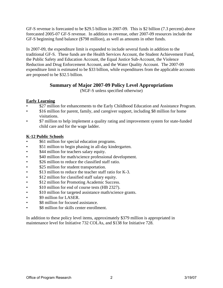GF-S revenue is forecasted to be \$29.5 billion in 2007-09. This is \$2 billion (7.3 percent) above forecasted 2005-07 GF-S revenue. In addition to revenue, other 2007-09 resources include the GF-S beginning fund balance (\$798 million), as well as amounts in other funds.

In 2007-09, the expenditure limit is expanded to include several funds in addition to the traditional GF-S. These funds are the Health Services Account, the Student Achievement Fund, the Public Safety and Education Account, the Equal Justice Sub-Account, the Violence Reduction and Drug Enforcement Account, and the Water Quality Account. The 2007-09 expenditure limit is estimated to be \$33 billion, while expenditures from the applicable accounts are proposed to be \$32.5 billion.

#### **Summary of Major 2007-09 Policy Level Appropriations**

(NGF-S unless specified otherwise)

#### **Early Learning**

- $$27$  million for enhancements to the Early Childhood Education and Assistance Program.
- \$16 million for parent, family, and caregiver support, including \$8 million for home visitations.
- \$7 million to help implement a quality rating and improvement system for state-funded child care and for the wage ladder.

#### **K-12 Public Schools**

- \$61 million for special education programs.
- \$51 million to begin phasing in all-day kindergarten.
- \$44 million for teachers salary equity.
- \$40 million for math/science professional development.
- \$26 million to reduce the classified staff ratio.
- \$25 million for student transportation.
- \$13 million to reduce the teacher staff ratio for K-3.
- \$12 million for classified staff salary equity.
- \$12 million for Promoting Academic Success.
- \$10 million for end of course tests (HB 2327).
- \$10 million for targeted assistance math/science grants.
- \$9 million for LASER.
- \$8 million for focused assistance.
- \$8 million for skills center enrollment.

In addition to these policy level items, approximately \$379 million is appropriated in maintenance level for Initiative 732 COLAs, and \$138 for Initiative 728.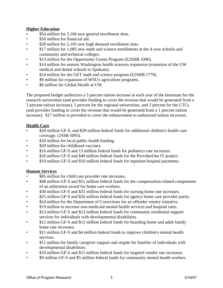#### **Higher Education**

- \$54 million for 5,166 new general enrollment slots.
- \$50 million for financial aid.
- \$28 million for 2,105 new high demand enrollment slots.
- \$17 million for 1,085 new math and science enrollments at the 4-year schools and community and technical colleges.
- \$15 million for the Opportunity Grants Program (E2SHB 1096).
- \$14 million for eastern Washington health sciences expansion (extension of the UW medical and dental schools to Spokane).
- \$14 million for the GET math and science program (E2SHB 1779).
- \$9 million for expansion of WSU's agriculture programs.
- \$6 million for Global Health at UW.

The proposed budget authorizes a 5 percent tuition increase in each year of the biennium for the research universities (and provides funding to cover the revenue that would be generated from a 2 percent tuition increase), 5 percent for the regional universities, and 2 percent for the CTCs (and provides funding to cover the revenue that would be generated from a 1 percent tuition increase). \$17 million is provided to cover the enhancement to authorized tuition increases.

#### **Health Care**

- \$28 million GF-S, and \$28 million federal funds for additional children's health care coverage. (2SSB 5093).
- \$20 million for local public health funding.
- \$20 million for childhood vaccines.
- \$16 million GF-S and 13 million federal funds for pediatrics rate increases.
- \$16 million GF-S and \$49 million federal funds for the ProviderOne IT project.
- \$10 million GF-S and \$10 million federal funds for inpatient hospital payments.

#### **Human Services**

- \$85 million for child care provider rate increases.
- \$48 million GF-S and \$51 million federal funds for the compensation related components of an arbitration award for home care workers.
- \$30 million GF-S and \$31 million federal funds for nursing home rate increases.
- \$25 million GF-S and \$26 million federal funds for agency home care provider parity.
- \$24 million for the Department of Corrections for an offender reentry initiative.
- \$19 million to increase non-medicaid mental health services and hospital rates.
- \$13 million GF-S and \$13 million federal funds for community residential support services for individuals with developmental disabilities.
- \$12 million GF-S and \$12 million federal funds for boarding home and adult family home rate increases.
- \$11 million GF-S and \$4 million federal funds to improve children's mental health services.
- \$11 million for family caregiver support and respite for families of individuals with developmental disabilities.
- \$10 million GF-S and \$11 million federal funds for targeted vendor rate increases.
- \$9 million GF-S and \$5 million federal funds for community mental health workers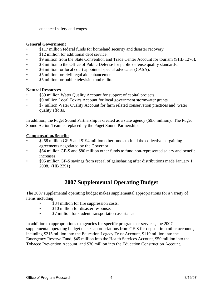enhanced safety and wages.

#### **General Government**

- \$117 million federal funds for homeland security and disaster recovery.
- \$12 million for additional debt service.
- \$9 million from the State Convention and Trade Center Account for tourism (SHB 1276).
- $\$8$  million to the Office of Public Defense for public defense quality standards.
- \$6 million for local court appointed special advocates (CASA).
- \$5 million for civil legal aid enhancements.
- \$5 million for public television and radio.

#### **Natural Resources**

- \$39 million Water Quality Account for support of capital projects.
- \$9 million Local Toxics Account for local government stormwater grants.
- \$7 million Water Quality Account for farm related conservation practices and water quality efforts.

In addition, the Puget Sound Partnership is created as a state agency (\$9.6 million). The Puget Sound Action Team is replaced by the Puget Sound Partnership.

#### **Compensation/Benefits**

- \$258 million GF-S and \$194 million other funds to fund the collective bargaining agreements negotiated by the Governor.
- \$64 million GF-S and \$80 million other funds to fund non-represented salary and benefit increases.
- \$95 million GF-S savings from repeal of gainsharing after distributions made January 1, 2008. (HB 2391)

## **2007 Supplemental Operating Budget**

The 2007 supplemental operating budget makes supplemental appropriations for a variety of items including:

- \$34 million for fire suppression costs.
- \$10 million for disaster response.
- \$7 million for student transportation assistance.

In addition to appropriations to agencies for specific programs or services, the 2007 supplemental operating budget makes appropriations from GF-S for deposit into other accounts, including \$215 million into the Education Legacy Trust Account, \$119 million into the Emergency Reserve Fund, \$45 million into the Health Services Account, \$50 million into the Tobacco Prevention Account, and \$30 million into the Education Construction Account.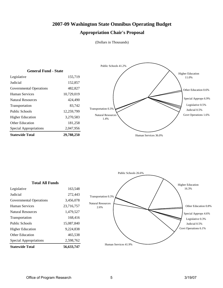#### **2007-09 Washington State Omnibus Operating Budget**

#### **Appropriation Chair's Proposal**

(Dollars in Thousands)



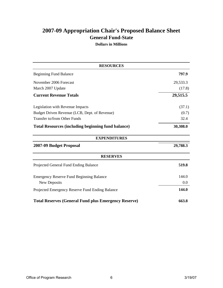## **General Fund-State 2007-09 Appropriation Chair's Proposed Balance Sheet**

**Dollars in Millions**

| <b>RESOURCES</b>                                            |          |
|-------------------------------------------------------------|----------|
| <b>Beginning Fund Balance</b>                               | 797.9    |
| November 2006 Forecast                                      | 29,533.3 |
| March 2007 Update                                           | (17.8)   |
| <b>Current Revenue Totals</b>                               | 29,515.5 |
| Legislation with Revenue Impacts                            | (37.1)   |
| Budget Driven Revenue (LCB, Dept. of Revenue)               | (0.7)    |
| Transfer to/from Other Funds                                | 32.4     |
| <b>Total Resources (including beginning fund balance)</b>   | 30,308.0 |
| <b>EXPENDITURES</b>                                         |          |
| 2007-09 Budget Proposal                                     | 29,788.3 |
| <b>RESERVES</b>                                             |          |
| Projected General Fund Ending Balance                       | 519.8    |
| <b>Emergency Reserve Fund Beginning Balance</b>             | 144.0    |
| New Deposits                                                | 0.0      |
| Projected Emergency Reserve Fund Ending Balance             | 144.0    |
| <b>Total Reserves (General Fund plus Emergency Reserve)</b> | 663.8    |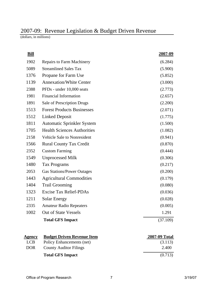## 2007-09: Revenue Legislation & Budget Driven Revenue

(dollars, in millions)

| <u>Bill</u>                   |                                    | <u>2007-09</u>       |
|-------------------------------|------------------------------------|----------------------|
| 1902                          | <b>Repairs to Farm Machinery</b>   | (6.284)              |
| 5089                          | <b>Streamlined Sales Tax</b>       | (5.900)              |
| 1376                          | Propane for Farm Use               | (5.852)              |
| 1139                          | <b>Annexation/White Center</b>     | (3.000)              |
| 2388                          | PFDs - under 10,000 seats          | (2.773)              |
| 1981                          | <b>Financial Information</b>       | (2.657)              |
| 1891                          | Sale of Prescription Drugs         | (2.200)              |
| 1513                          | <b>Forest Products Businesses</b>  | (2.071)              |
| 1512                          | <b>Linked Deposit</b>              | (1.775)              |
| 1811                          | <b>Automatic Sprinkler System</b>  | (1.500)              |
| 1705                          | <b>Health Sciences Authorities</b> | (1.082)              |
| 2158                          | Vehicle Sale to Nonresident        | (0.941)              |
| 1566                          | <b>Rural County Tax Credit</b>     | (0.870)              |
| 2352                          | <b>Custom Farming</b>              | (0.444)              |
| 1549                          | <b>Unprocessed Milk</b>            | (0.306)              |
| 1480                          | <b>Tax Programs</b>                | (0.217)              |
| 2053                          | <b>Gas Stations/Power Outages</b>  | (0.200)              |
| 1443                          | <b>Agricultural Commodities</b>    | (0.179)              |
| 1404                          | <b>Trail Grooming</b>              | (0.080)              |
| 1323                          | <b>Excise Tax Relief-PDAs</b>      | (0.036)              |
| 1211                          | <b>Solar Energy</b>                | (0.028)              |
| 2335                          | <b>Amateur Radio Repeaters</b>     | (0.005)              |
| 1002                          | <b>Out of State Vessels</b>        | 1.291                |
|                               | <b>Total GFS Impact</b>            | (37.109)             |
| <u>Agency</u>                 | <b>Budget Driven Revenue Item</b>  | <u>2007-09 Total</u> |
| $\overline{I}$ $\overline{C}$ | Doliar Enhangama                   | (2112)               |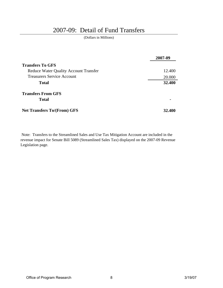## 2007-09: Detail of Fund Transfers

(Dollars in Millions)

|                                              | 2007-09 |
|----------------------------------------------|---------|
| <b>Transfers To GFS</b>                      |         |
| <b>Reduce Water Quality Account Transfer</b> | 12.400  |
| <b>Treasurers Service Account</b>            | 20.000  |
| <b>Total</b>                                 | 32.400  |
| <b>Transfers From GFS</b>                    |         |
| <b>Total</b>                                 |         |
| <b>Net Transfers To/(From) GFS</b>           | 32.400  |

 Note: Transfers to the Streamlined Sales and Use Tax Mitigation Account are included in the revenue impact for Senate Bill 5089 (Streamlined Sales Tax) displayed on the 2007-09 Revenue Legislation page.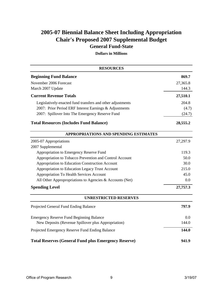## **General Fund-State 2005-07 Biennial Balance Sheet Including Appropriation Chair's Proposed 2007 Supplemental Budget**

**Dollars in Millions**

| <b>RESOURCES</b>                                            |          |
|-------------------------------------------------------------|----------|
| <b>Beginning Fund Balance</b>                               | 869.7    |
| November 2006 Forecast                                      | 27,365.8 |
| March 2007 Update                                           | 144.3    |
| <b>Current Revenue Totals</b>                               | 27,510.1 |
| Legislatively-enacted fund transfers and other adjustments  | 204.8    |
| 2007: Prior Period ERF Interest Earnings & Adjustments      | (4.7)    |
| 2007: Spillover Into The Emergency Reserve Fund             | (24.7)   |
| <b>Total Resources (Includes Fund Balance)</b>              | 28,555.2 |
| APPROPRIATIONS AND SPENDING ESTIMATES                       |          |
| 2005-07 Appropriations                                      | 27,297.9 |
| 2007 Supplemental                                           |          |
| Appropriation to Emergency Reserve Fund                     | 119.3    |
| Appropriation to Tobacco Prevention and Control Account     | 50.0     |
| Appropriation to Education Construction Account             | 30.0     |
| Appropriation to Education Legacy Trust Account             | 215.0    |
| Appropriation To Health Services Account                    | 45.0     |
| All Other Appropropriations to Agencies & Accounts (Net)    | 0.0      |
| <b>Spending Level</b>                                       | 27,757.3 |
| <b>UNRESTRICTED RESERVES</b>                                |          |
| Projected General Fund Ending Balance                       | 797.9    |
| <b>Emergency Reserve Fund Beginning Balance</b>             | 0.0      |
| New Deposits (Revenue Spillover plus Appropriation)         | 144.0    |
| Projected Emergency Reserve Fund Ending Balance             | 144.0    |
| <b>Total Reserves (General Fund plus Emergency Reserve)</b> | 941.9    |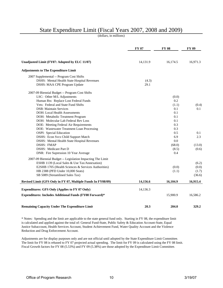## State Expenditure Limit (Fiscal Years 2007, 2008 and 2009)

(dollars, in millions)

|                                                              | FY 07    | <b>FY 08</b> | <b>FY 09</b> |
|--------------------------------------------------------------|----------|--------------|--------------|
| Unadjusted Limit (FY07: Adopted by ELC 11/07)                | 14,131.9 | 16,174.5     | 16,971.3     |
| <b>Adjustments to The Expenditure Limit</b>                  |          |              |              |
| 2007 Supplemental -- Program Cost Shifts                     |          |              |              |
| DSHS: Mental Health State Hospital Revenues                  | (4.3)    |              |              |
| DSHS: MAA CPE Program Update                                 | 29.1     |              |              |
| 2007-09 Biennial Budget -- Program Cost Shifts               |          |              |              |
| LSC: Other M/L Adjustments                                   |          | (0.0)        |              |
| Human Rts: Replace Lost Federal Funds                        |          | 0.2          |              |
| Vets: Federal and State Fund Shifts                          |          | (1.1)        | (0.4)        |
| <b>DSB</b> : Maintain Services                               |          | 0.1          | 0.1          |
| DOH: Local Health Assessments                                |          | 0.1          |              |
| DOH: Metabolic Treatment Program                             |          | 0.1          |              |
| DOH: Molecular Lab Federal Rev Loss                          |          | 0.1          |              |
| DOE: Meeting Federal Air Requirements                        |          | 0.3          |              |
| DOE: Wastewater Treatment Loan Processing                    |          | 0.3          |              |
| OSPI: Special Education                                      |          | 0.5          | 0.1          |
| DSHS: Econ Svcs Child Support Match                          |          | 6.9          | 2.3          |
| DSHS: Mental Health State Hospital Revenues                  |          | 0.0          |              |
| <b>DSHS: FMAP</b>                                            |          | (68.0)       | (13.0)       |
| <b>DSHS: Medicare Part D</b>                                 |          | (8.5)        | (0.6)        |
| DNR: Fire Supression 10 Year Average                         |          | 0.4          |              |
| 2007-09 Biennial Budget -- Legislation Impacting The Limit   |          |              |              |
| ESHB 1139 (Local Sales & Use Tax/Annexation)                 |          |              | (6.2)        |
| E2SHB 1705 (Health Sciences & Services Authorities)          |          | (0.0)        | (0.0)        |
| HB 2388 (PFD Under 10,000 Seats)                             |          | (1.1)        | (1.7)        |
| SB 5089 (Streamlined Sales Tax)                              |          |              | (36.6)       |
| Revised Limit (GFS Only in FY 07, Multiple Funds In FY08/09) | 14,156.6 | 16,104.9     | 16,915.4     |
| <b>Expenditures: GFS Only (Applies to FY 07 Only)</b>        | 14,136.3 |              |              |
| Expenditures: Includes Additional Funds (FY08 Forward)*      |          | 15,900.9     | 16,586.2     |
| <b>Remaining Capacity Under The Expenditure Limit</b>        | 20.3     | 204.0        | 329.2        |

\* Notes: Spending and the limit are applicable to the state general fund only. Starting in FY 08, the expenditure limit is calculated and applied against the total of: General Fund-State, Public Safety & Education Account-State, Equal Justice Subaccount, Health Services Account, Student Achievement Fund, Water Quality Account and the Violence Reduction and Drug Enforcement Account.

Adjustments are for display purposes only and are not official until adopted by the State Expenditure Limit Committee. The limit for FY 08 is rebased to FY 07 projected actual spending. The limit for FY 09 is calculated using the FY 08 limit. Fiscal Growth factors for FY 08 (5.53%) and FY 09 (5.38%) are those adopted by the Expenditure Limit Committee.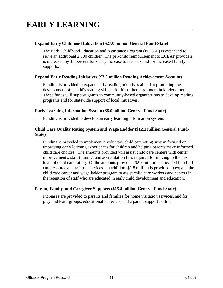#### **Expand Early Childhood Education (\$27.0 million General Fund-State)**

The Early Childhood Education and Assistance Program (ECEAP) is expanded to serve an additional 2,000 children. The per-child reimbursement to ECEAP providers is increased by 15 percent for salary increase to teachers and for increased family supports.

#### **Expand Early Reading Initiatives (\$2.0 million Reading Achievement Account)**

Funding is provided to expand early reading initiatives aimed at promoting the development of a child's reading skills prior his or her enrollment in kindergarten. These funds will support grants to community-based organizations to develop reading programs and for statewide support of local initiatives.

#### **Early Learning Information System (\$6.0 million General Fund-State)**

Funding is provided to develop an early learning information system.

#### **Child Care Quality Rating System and Wage Ladder (\$12.1 million General Fund-State)**

Funding is provided to implement a voluntary child care rating system focused on improving early learning experiences for children and helping parents make informed child care choices. The amounts provided will assist child care centers with center improvements, staff training, and accreditation fees required for moving to the next level of child care rating. Of the amounts provided, \$2.8 million is provided for child care resource and referral services. In addition, \$1.8 million is provided to expand the child care career and wage ladder program to assist child care workers and centers in the retention of staff who are educated in early child development and education.

#### **Parent, Family, and Caregiver Supports (\$15.8 million General Fund-State)**

Increases are provided to parents and families for home visitation services, and for play and learn groups, educational materials, and a parent support hotline.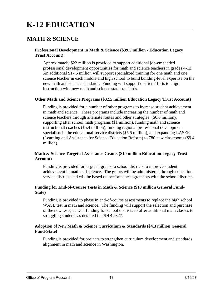## **K-12 EDUCATION**

## **MATH & SCIENCE**

#### **Professional Development in Math & Science (\$39.5 million - Education Legacy Trust Account)**

Approximately \$22 million is provided to support additional job-embedded professional development opportunities for math and science teachers in grades 4-12. An additional \$17.5 million will support specialized training for one math and one science teacher in each middle and high school to build building-level expertise on the new math and science standards. Funding will support district efforts to align instruction with new math and science state standards.

#### **Other Math and Science Programs (\$32.5 million Education Legacy Trust Account)**

Funding is provided for a number of other programs to increase student achievement in math and science. These programs include increasing the number of math and science teachers through alternate routes and other strategies (\$6.6 million), supporting after school math programs (\$1 million), funding math and science instructional coaches (\$5.4 million), funding regional professional development specialists in the educational service districts (\$5.5 million), and expanding LASER (Learning and Assistance for Science Education Reform) to 780 new classrooms (\$9.4 million).

#### **Math & Science Targeted Assistance Grants (\$10 million Education Legacy Trust Account)**

Funding is provided for targeted grants to school districts to improve student achievement in math and science. The grants will be administered through education service districts and will be based on performance agrements with the school districts.

#### **Funding for End-of-Course Tests in Math & Science (\$10 million General Fund-State)**

Funding is provided to phase in end-of-course assessments to replace the high school WASL test in math and science. The funding will support the selection and purchase of the new tests, as well funding for school districts to offer additional math classes to struggling students as detailed in 2SHB 2327.

#### **Adoption of New Math & Science Curriculum & Standards (\$4.3 million General Fund-State)**

Funding is provided for projects to strengthen curriculum development and standards alignment in math and science in Washington.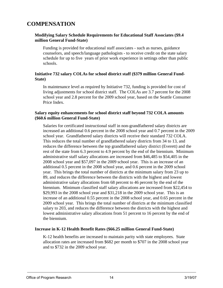## **COMPENSATION**

#### **Modifying Salary Schedule Requirements for Educational Staff Associates (\$9.4 million General Fund-State)**

Funding is provided for educational staff associates - such as nurses, guidance counselors, and speech/language pathologists - to receive credit on the state salary schedule for up to five years of prior work experience in settings other than public schools.

#### **Initiative 732 salary COLAs for school district staff (\$379 million General Fund-State)**

In maintenance level as required by Initiative 732, funding is provided for cost of living adjustments for school district staff. The COLAs are 3.7 percent for the 2008 school year and 2.8 percent for the 2009 school year, based on the Seattle Consumer Price Index.

#### **Salary equity enhancements for school district staff beyond 732 COLA amounts (\$60.6 million General Fund-State)**

Salaries for certificated instructional staff in non-grandfathered salary districts are increased an additional 0.6 percent in the 2008 school year and 0.7 percent in the 2009 school year. Grandfathered salary districts will receive their standard 732 COLA. This reduces the total number of grandfathered salary districts from 34 to 13, and reduces the difference between the top grandfathered salary district (Everett) and the rest of the state from 6.3 percent to 4.9 percent by the end of the biennium. Minimum administrative staff salary allocations are increased from \$46,485 to \$54,405 in the 2008 school year and \$57,097 in the 2009 school year. This is an increase of an additional 0.5 percent in the 2008 school year, and 0.6 percent in the 2009 school year. This brings the total number of districts at the minimum salary from 23 up to 89, and reduces the difference between the districts with the highest and lowest administrative salary allocations from 68 percent to 46 percent by the end of the biennium. Minimum classified staff salary allocations are increased from \$22,454 to \$29,993 in the 2008 school year and \$31,218 in the 2009 school year. This is an increase of an additional 0.55 percent in the 2008 school year, and 0.65 percent in the 2009 school year. This brings the total number of districts at the minimum classified salary to 203, and reduces the difference between the districts with the highest and lowest administrative salary allocations from 51 percent to 16 percent by the end of the biennium.

#### **Increase in K-12 Health Benefit Rates (\$66.25 million General Fund-State)**

K-12 health benefits are increased to maintain parity with state employees. State allocation rates are increased from \$682 per month to \$707 in the 2008 school year and to \$732 in the 2009 school year.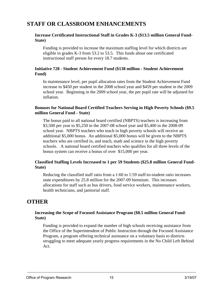## **STAFF OR CLASSROOM ENHANCEMENTS**

#### **Increase Certificated Instructional Staff in Grades K-3 (\$13.5 million General Fund-State)**

Funding is provided to increase the maximum staffing level for which districts are eligible in grades K-3 from 53.2 to 53.5. This funds about one certificated instructional staff person for every 18.7 students.

#### **Initiative 728 - Student Achievement Fund (\$138 million - Student Achievement Fund)**

In maintenance level, per pupil allocation rates from the Student Achievement Fund increase to \$450 per student in the 2008 school year and \$459 per student in the 2009 school year. Beginning in the 2009 school year, the per pupil rate will be adjusted for inflation.

#### **Bonuses for National Board Certified Teachers Serving in High Poverty Schools (\$9.5 million General Fund - State)**

The bonus paid to all national board certified (NBPTS) teachers is increasing from \$3,500 per year to \$5,250 in the 2007-08 school year and \$5,400 in the 2008-09 school year. NBPTS teachers who teach in high poverty schools will receive an additional \$5,000 bonus. An additional \$5,000 bonus will be given to the NBPTS teachers who are certified in, and teach, math and science in the high poverty schools. A national board certified teachers who qualifies for all three levels of the bonus system can receive a bonus of over \$15,000 per year.

#### **Classified Staffing Levels Increased to 1 per 59 Students (\$25.8 million General Fund-State)**

Reducing the classified staff ratio from a 1:60 to 1:59 staff-to-student ratio increases state expenditures by 25.8 million for the 2007-09 biennium. This increases allocations for staff such as bus drivers, food service workers, maintenance workers, health technicians, and janitorial staff.

### **OTHER**

#### **Increasing the Scope of Focused Assistance Program (\$8.5 million General Fund-State)**

Funding is provided to expand the number of high schools receiving assistance from the Office of the Superintendent of Public Instruction through the Focused Assistance Program, a program offering technical assistance on a voluntary basis to districts struggling to meet adequate yearly progress requirements in the No Child Left Behind Act.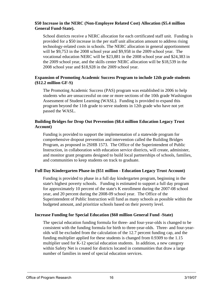#### **\$50 Increase in the NERC (Non-Employee Related Cost) Allocation (\$5.4 million General Fund-State).**

School districts receive a NERC allocation for each certificated staff unit. Funding is provided for a \$50 increase in the per staff unit allocation amount to address rising technology-related costs in schools. The NERC allocation in general apportionment will be \$9,753 in the 2008 school year and \$9,958 in the 2009 school year. The vocational education NERC will be \$23,881 in the 2008 school year and \$24,383 in the 2009 school year, and the skills center NERC allocation will be \$18,539 in the 2008 school year and \$18,928 in the 2009 school year.

#### **Expansion of Promoting Academic Success Program to include 12th grade students (\$12.2 million GF-S)**

The Promoting Academic Success (PAS) program was established in 2006 to help students who are unsuccessful on one or more sections of the 10th grade Washington Assessment of Student Learning (WASL). Funding is provided to expand this program beyond the 11th grade to serve students in 12th grade who have not yet passed the WASL.

#### **Building Bridges for Drop Out Prevention (\$8.4 million Education Legacy Trust Account)**

Funding is provided to support the implementation of a statewide program for comprehensive dropout prevention and intervention called the Building Bridges Program, as proposed in 2SHB 1573. The Office of the Superintendent of Public Instruction, in collaboration with education service districts, will create, administer, and monitor grant programs designed to build local partnerships of schools, families, and communities to keep students on track to graduate.

#### **Full Day Kindergarten Phase-in (\$51 million - Education Legacy Trust Account)**

Funding is provided to phase in a full day kindergarten program, beginning in the state's highest poverty schools. Funding is estimated to support a full day program for approximately 10 percent of the state's K enrollment during the 2007-08 school year, and 20 percent during the 2008-09 school year. The Office of the Superintendent of Public Instruction will fund as many schools as possible within the budgeted amount, and prioritize schools based on their poverty level.

#### **Increase Funding for Special Education (\$60 million General Fund -State)**

The special education funding formula for three- and four-year-olds is changed to be consistent with the funding formula for birth to three-year-olds. Three- and four-yearolds will be excluded from the calculation of the 12.7 percent funding cap, and the funding multiplier applied for these students is changed from 0.9309 to the 1.15 multiplier used for K-12 special education students. In addition, a new category within Safety Net is created for districts located in communities that draw a large number of families in need of special education services.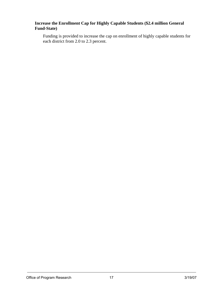#### **Increase the Enrollment Cap for Highly Capable Students (\$2.4 million General Fund-State)**

Funding is provided to increase the cap on enrollment of highly capable students for each district from 2.0 to 2.3 percent.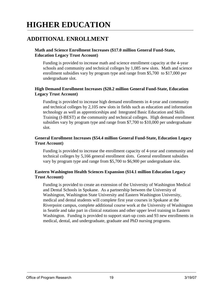## **HIGHER EDUCATION**

## **ADDITIONAL ENROLLMENT**

#### **Math and Science Enrollment Increases (\$17.0 million General Fund-State, Education Legacy Trust Account)**

Funding is provided to increase math and science enrollment capacity at the 4-year schools and community and technical colleges by 1,085 new slots. Math and science enrollment subsidies vary by program type and range from \$5,700 to \$17,000 per undergraduate slot.

#### **High Demand Enrollment Increases (\$28.2 million General Fund-State, Education Legacy Trust Account)**

Funding is provided to increase high demand enrollments in 4-year and community and technical colleges by 2,105 new slots in fields such as education and information technology as well as apprenticeships and Integrated Basic Education and Skills Training (I-BEST) at the community and technical colleges. High demand enrollment subsidies vary by program type and range from \$7,700 to \$10,000 per undergraduate slot.

#### **General Enrollment Increases (\$54.4 million General Fund-State, Education Legacy Trust Account)**

Funding is provided to increase the enrollment capacity of 4-year and community and technical colleges by 5,166 general enrollment slots. General enrollment subsidies vary by program type and range from \$5,700 to \$6,900 per undergraduate slot.

#### **Eastern Washington Health Sciences Expansion (\$14.1 million Education Legacy Trust Account)**

Funding is provided to create an extension of the University of Washington Medical and Dental Schools in Spokane. As a partnership between the University of Washington, Washington State University and Eastern Washington University, medical and dental students will complete first year courses in Spokane at the Riverpoint campus, complete additional course work at the University of Washington in Seattle and take part in clinical rotations and other upper level training in Eastern Washington. Funding is provided to support start-up costs and 93 new enrollments in medical, dental, and undergraduate, graduate and PhD nursing programs.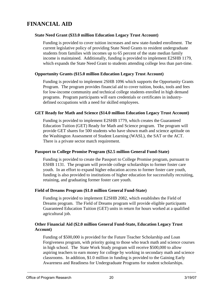## **FINANCIAL AID**

#### **State Need Grant (\$33.0 million Education Legacy Trust Account)**

Funding is provided to cover tuition increases and new state-funded enrollment. The current legislative policy of providing State Need Grants to resident undergraduate students from families with incomes up to 65 percent of the state median family income is maintained. Additionally, funding is provided to implement E2SHB 1179, which expands the State Need Grant to students attending college less than part-time.

#### **Opportunity Grants (\$15.0 million Education Legacy Trust Account)**

Funding is provided to implement 2SHB 1096 which supports the Opportunity Grants Program. The program provides financial aid to cover tuition, books, tools and fees for low-income community and technical college students enrolled in high demand programs. Program participants will earn credentials or certificates in industrydefined occupations with a need for skilled employees.

#### **GET Ready for Math and Science (\$14.0 million Education Legacy Trust Account)**

Funding is provided to implement E2SHB 1779, which creates the Guaranteed Education Tuition (GET) Ready for Math and Science program. The program will provide GET shares for 500 students who have shown math and science aptitude on the Washington Assessment of Student Learning (WASL), the SAT or the ACT. There is a private sector match requirement.

#### **Passport to College Promise Program (\$2.5 million General Fund-State)**

Funding is provided to create the Passport to College Promise program, pursuant to ESHB 1131. The program will provide college scholarships to former foster care youth. In an effort to expand higher education access to former foster care youth, funding is also provided to institutions of higher education for successfully recruiting, retaining, and graduating former foster care youth.

#### **Field of Dreams Program (\$1.0 million General Fund-State)**

Funding is provided to implement E2SHB 2082, which establishes the Field of Dreams program. The Field of Dreams program will provide eligible participants Guaranteed Education Tuition (GET) units in return for hours worked at a qualified agricultural job.

#### **Other Financial Aid (\$2.0 million General Fund-State, Education Legacy Trust Account)**

Funding of \$500,000 is provided for the Future Teacher Scholarship and Loan Forgiveness program, with priority going to those who teach math and science courses in high school. The State Work Study program will receive \$500,000 to allow aspiring teachers to earn money for college by working in secondary math and science classrooms. In addition, \$1.0 million in funding is provided to the Gaining Early Awareness and Readiness for Undergraduate Programs for student scholarships.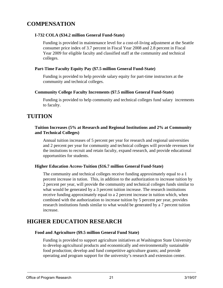## **COMPENSATION**

#### **I-732 COLA (\$34.2 million General Fund-State)**

Funding is provided in maintenance level for a cost-of-living adjustment at the Seattle consumer price index of 3.7 percent in Fiscal Year 2008 and 2.8 percent in Fiscal Year 2009 for eligible faculty and classified staff at the community and technical colleges.

#### **Part-Time Faculty Equity Pay (\$7.5 million General Fund-State)**

Funding is provided to help provide salary equity for part-time instructors at the community and technical colleges.

#### **Community College Faculty Increments (\$7.5 million General Fund-State)**

Funding is provided to help community and technical colleges fund salary increments to faculty.

## **TUITION**

#### **Tuition Increases (5% at Research and Regional Institutions and 2% at Community and Technical Colleges)**

Annual tuition increases of 5 percent per year for research and regional universities and 2 percent per year for community and technical colleges will provide revenues for the insitutions to recruit and retain faculty, expand research, and provide educational opportunities for students.

#### **Higher Education Access-Tuition (\$16.7 million General Fund-State)**

The community and technical colleges receive funding approximately equal to a 1 percent increase in tution. This, in addition to the authorization to increase tuition by 2 percent per year, will provide the community and technical colleges funds similar to what would be generated by a 3 percent tuition increase. The research institutions receive funding approximately equal to a 2 percent increase in tuition which, when combined with the authorization to increase tuition by 5 percent per year, provides research institutions funds similar to what would be generated by a 7 percent tuition increase.

## **HIGHER EDUCATION RESEARCH**

#### **Food and Agriculture (\$9.5 million General Fund State)**

Funding is provided to support agriculture initiatives at Washington State University to develop agricultural products and economically and environmentally sustainable food production; develop and fund competitive agriculture grants; and provide operating and program support for the university's research and extension center.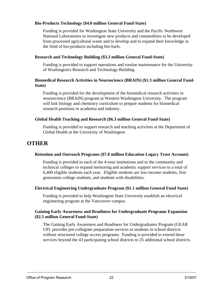#### **Bio-Products Technology (\$4.0 million General Fund-State)**

Funding is provided for Washington State University and the Pacific Northwest National Laboratories to investigate new products and commodities to be developed from processed agricultural waste and to develop and to expand their knowledge in the field of bio-products including bio-fuels.

#### **Research and Technology Building (\$3.3 million General Fund-State)**

Funding is provided to support operations and routine maintenance for the University of Washington's Research and Technology Building.

#### **Biomedical Research Activities in Neuroscience (BRAIN) (\$1.3 million General Fund-State)**

Funding is provided for the development of the biomedical research activities in neuroscience (BRAIN) program at Western Washington University. The program will link biology and chemistry curriculum to prepare students for biomedical research positions in academia and industry.

#### **Global Health Teaching and Research (\$6.3 million General Fund-State)**

Funding is provided to support research and teaching activities at the Department of Global Health at the University of Washington.

## **OTHER**

#### **Retention and Outreach Programs (\$7.0 million Education Legacy Trust Account)**

Funding is provided to each of the 4-year institutions and to the community and technical colleges to expand mentoring and academic support services to a total of 6,400 eligible students each year. Eligible students are low-income students, first generation college students, and students with disabilities.

#### **Electrical Engineering Undergraduate Program (\$1.1 million General Fund State)**

Funding is provided to help Washington State University establish an electrical engineering program at the Vancouver campus.

#### **Gaining Early Awareness and Readiness for Undergraduate Programs Expansion (\$2.5 million General Fund-State)**

The Gaining Early Awareness and Readiness for Undergraduates Program (GEAR UP) provides pre-collegiate preparation services to students in school districts without structured college access programs. Funding is provided to extend these services beyond the 43 participating school districts to 25 additional school districts.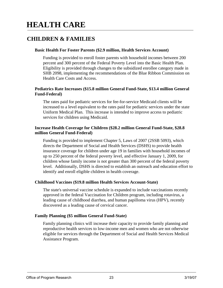## **HEALTH CARE**

## **CHILDREN & FAMILIES**

#### **Basic Health For Foster Parents (\$2.9 million, Health Services Account)**

Funding is provided to enroll foster parents with household incomes between 200 percent and 300 percent of the Federal Poverty Level into the Basic Health Plan. Eligibility is provided through changes to the subsidized enrollee category made in SHB 2098, implementing the recommendations of the Blue Ribbon Commission on Health Care Costs and Access.

#### **Pediatrics Rate Increases (\$15.8 million General Fund-State, \$13.4 million General Fund-Federal)**

The rates paid for pediatric services for fee-for-service Medicaid clients will be increased to a level equivalent to the rates paid for pediatric services under the state Uniform Medical Plan. This increase is intended to improve access to pediatric services for children using Medicaid.

#### **Increase Health Coverage for Children (\$28.2 million General Fund-State, \$28.8 million General Fund-Federal)**

Funding is provided to implement Chapter 5, Laws of 2007 (2SSB 5093), which directs the Department of Social and Health Services (DSHS) to provide health insurance coverage for children under age 19 in families with household incomes of up to 250 percent of the federal poverty level, and effective January 1, 2009, for children whose family income is not greater than 300 percent of the federal poverty level. Additionally, DSHS is directed to establish an outreach and education effort to identify and enroll eligible children in health coverage.

#### **Childhood Vaccines (\$19.8 million Health Services Account-State)**

The state's universal vaccine schedule is expanded to include vaccinations recently approved in the federal Vaccination for Children program, including rotavirus, a leading cause of childhood diarrhea, and human papilloma virus (HPV), recently discovered as a leading cause of cervical cancer.

#### **Family Planning (\$5 million General Fund-State)**

Family planning clinics will increase their capacity to provide family planning and reproductive health services to low-income men and women who are not otherwise eligible for services through the Department of Social and Health Services Medical Assistance Program.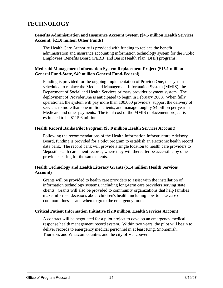## **TECHNOLOGY**

#### **Benefits Administration and Insurance Account System (\$4.5 million Health Services Account, \$21.0 million Other Funds)**

The Health Care Authority is provided with funding to replace the benefit administration and insurance accounting information technology system for the Public Employees' Benefits Board (PEBB) and Basic Health Plan (BHP) programs.

#### **Medicaid Management Information System Replacement Project (\$15.1 million General Fund-State, \$49 million General Fund-Federal)**

Funding is provided for the ongoing implementation of ProviderOne, the system scheduled to replace the Medicaid Management Information System (MMIS), the Department of Social and Health Services primary provider payment system. The deployment of ProviderOne is anticipated to begin in February 2008. When fully operational, the system will pay more than 100,000 providers, support the delivery of services to more than one million clients, and manage roughly \$4 billion per year in Medicaid and other payments. The total cost of the MMIS replacement project is estimated to be \$115.6 million.

#### **Health Record Banks Pilot Program (\$8.0 million Health Services Account)**

Following the recommendations of the Health Information Infrastructure Advisory Board, funding is provided for a pilot program to establish an electronic health record data bank. The record bank will provide a single location to health care providers to 'deposit' health care client records, where they will thereafter be accessible by other providers caring for the same clients.

#### **Health Technology and Health Literacy Grants (\$1.4 million Health Services Account)**

Grants will be provided to health care providers to assist with the installation of information technology systems, including long-term care providers serving state clients. Grants will also be provided to community organizations that help families make informed decisions about children's health, including how to take care of common illnesses and when to go to the emergency room.

#### **Critical Patient Information Initiative (\$2.0 million, Health Services Account)**

A contract will be negotiated for a pilot project to develop an emergency medical response health management record system. Within two years, the pilot will begin to deliver records to emergency medical personnel in at least King, Snohomish, Thurston, and Whatcom counties and the city of Vancouver.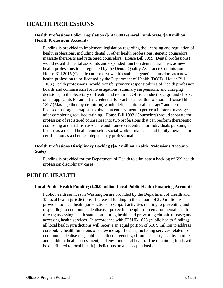## **HEALTH PROFESSIONS**

#### **Health Professions Policy Legislation (\$142,000 General Fund-State, \$4.8 million Health Professions Account)**

Funding is provided to implement legislation regarding the licensing and regulation of health professions, including dental & other health professions, genetic counselors, massage therapists and registered counselors. House Bill 1099 (Dental professions) would establish dental assistants and expanded function dental auxiliaries as new health professions to be regulated by the Dental Quality Assurance Commission. House Bill 2015 (Genetic counselors) would establish genetic counselors as a new health profession to be licensed by the Department of Health (DOH). House Bill 1103 (Health professions) would transfer primary responsibilities of health profession boards and commissions for investigations, summary suspensions, and charging decisions, to the Secretary of Health and require DOH to conduct background checks on all applicants for an initial credential to practice a health profession. House Bill 1397 (Massage therapy definition) would define "intraoral massage" and permit licensed massage therapists to obtain an endorsement to perform intraoral massage after completing required training. House Bill 1993 (Counselors) would separate the profession of registered counselors into two professions that can perform therapeutic counseling and establish associate and trainee credentials for individuals pursuing a license as a mental health counselor, social worker, marriage and family therapist, or certification as a chemical dependency professional.

#### **Health Professions Disciplinary Backlog (\$4.7 million Health Professions Account-State)**

Funding is provided for the Department of Health to eliminate a backlog of 699 health profession disciplinary cases.

## **PUBLIC HEALTH**

#### **Local Public Health Funding (\$20.0 million Local Public Health Financing Account)**

Public health services in Washington are provided by the Department of Health and 35 local health jurisdictions. Increased funding in the amount of \$20 million is provided to local health jurisdictions to support activities relating to preventing and responding to communicable disease; protecting people from environmental health threats; assessing health status; promoting health and preventing chronic disease; and accessing health services. In accordance with E2SHB 1825 (public health funding), all local health jurisdictions will receive an equal portion of \$10.9 million to address core public health functions of statewide significance, including services related to communicable diseases, public health emergencies, chronic disease, healthy families and children, health assessment, and environmental health. The remaining funds will be distributed to local health jurisdictions on a per-capita basis.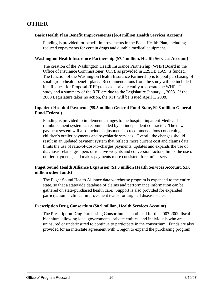## **OTHER**

#### **Basic Health Plan Benefit Improvements (\$6.4 million Health Services Account)**

Funding is provided for benefit improvements in the Basic Health Plan, including reduced copayments for certain drugs and durable medical equipment.

#### **Washington Health Insurance Partnership (\$7.4 million, Health Services Account)**

The creation of the Washington Health Insurance Partnership (WHP) Board in the Office of Insurance Commissioner (OIC), as provided in E2SHB 1569, is funded. The function of the Washington Health Insurance Partnership is to pool purchasing of small group health benefit plans. Recommendations from the study will be included in a Request for Proposal (RFP) to seek a private entity to operate the WHP. The study and a summary of the RFP are due to the Legislature January 1, 2008. If the 2008 Legislature takes no action, the RFP will be issued April 1, 2008.

#### **Inpatient Hospital Payments (\$9.5 million General Fund-State, \$9.8 million General Fund-Federal)**

Funding is provided to implement changes to the hospital inpatient Medicaid reimbursement system as recommended by an independent contractor. The new payment system will also include adjustments to recommendations concerning children's outlier payments and psychiatric services. Overall, the changes should result in an updated payment system that reflects more current cost and claims data, limits the use of ratio-of-cost-to-charges payments, updates and expands the use of diagnosis related groupers or relative weights and conversion factors, limits the use of outlier payments, and makes payments more consistent for similar services.

#### **Puget Sound Health Alliance Expansion (\$1.0 million Health Services Account, \$1.0 million other funds)**

The Puget Sound Health Alliance data warehouse program is expanded to the entire state, so that a statewide database of claims and performance information can be gathered on state-purchased health care. Support is also provided for expanded participation in clinical improvement teams for targeted disease states.

#### **Prescription Drug Consortium (\$0.9 million, Health Services Account)**

The Prescription Drug Purchasing Consortium is continued for the 2007-2009 fiscal biennium, allowing local governments, private entities, and individuals who are uninsured or underinsured to continue to participate in the consortium. Funds are also provided for an interstate agreement with Oregon to expand the purchasing program.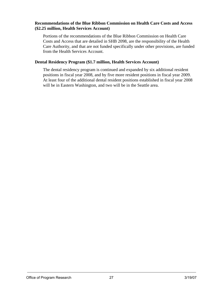#### **Recommendations of the Blue Ribbon Commission on Health Care Costs and Access (\$2.25 million, Health Services Account)**

Portions of the recommendations of the Blue Ribbon Commission on Health Care Costs and Access that are detailed in SHB 2098, are the responsibility of the Health Care Authority, and that are not funded specifically under other provisions, are funded from the Health Services Account.

#### **Dental Residency Program (\$1.7 million, Health Services Account)**

The dental residency program is continued and expanded by six additional resident positions in fiscal year 2008, and by five more resident positions in fiscal year 2009. At least four of the additional dental resident positions established in fiscal year 2008 will be in Eastern Washington, and two will be in the Seattle area.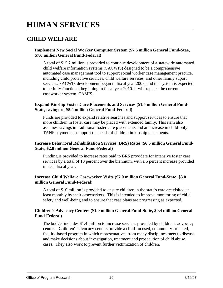## **HUMAN SERVICES**

### **CHILD WELFARE**

#### **Implement New Social Worker Computer System (\$7.6 million General Fund-Stae, \$7.6 million General Fund-Federal)**

A total of \$15.2 million is provided to continue development of a statewide automated child welfare information systems (SACWIS) designed to be a comprehensive automated case management tool to support social worker case management practice, including child protective services, child welfare services, and other family suport services. SACWIS development began in fiscal year 2007, and the system is expected to be fully functional beginning in fiscal year 2010. It will replace the current caseworker system, CAMIS.

#### **Expand Kinship Foster Care Placements and Services (\$1.5 million General Fund-State, savings of \$5.4 million General Fund-Federal)**

Funds are provided to expand relative searches and support services to ensure that more children in foster care may be placed with extended family. This item also assumes savings in traditional foster care placements and an increase in child-only TANF payments to support the needs of children in kinship placements.

#### **Increase Behavioral Rehabilitation Services (BRS) Rates (\$6.6 million General Fund-State, \$2.8 million General Fund-Federal)**

Funding is provided to increase rates paid to BRS providers for intensive foster care services by a total of 10 percent over the biennium, with a 5 percent increase provided in each fiscal year.

#### **Increase Child Welfare Caseworker Visits (\$7.0 million General Fund-State, \$3.0 million General Fund-Federal)**

A total of \$10 million is provided to ensure children in the state's care are visited at least monthly by their caseworkers. This is intended to improve monitoring of child safety and well-being and to ensure that case plans are progressing as expected.

#### **Children's Advocacy Centers (\$1.0 million General Fund-State, \$0.4 million General Fund-Federal)**

The budget includes \$1.4 million to increase services provided by children's advocacy centers. Children's advocacy centers provide a child-focused, community-oriented, facility-based program in which representatives from many disciplines meet to discuss and make decisions about investigation, treatment and prosecution of child abuse cases. They also work to prevent further victimization of children.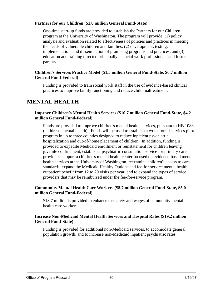#### **Partners for our Children (\$1.0 million General Fund-State)**

One-time start-up funds are provided to establish the Partners for our Children program at the University of Washington. The program will provide: (1) policy analysis and evaluation related to effectiveness of policies and practices in meeting the needs of vulnerable children and families; (2) development, testing, implementation, and dissemination of promising programs and practices; and (3) education and training directed principally at social work professionals and foster parents.

#### **Children's Services Practice Model (\$1.5 million General Fund-State, \$0.7 million General Fund-Federal)**

Funding is provided to train social work staff in the use of evidence-based clinical practices to improve family functioning and reduce child maltreatment.

### **MENTAL HEALTH**

#### **Improve Children's Mental Health Services (\$10.7 million General Fund-State, \$4.2 million General Fund-Federal)**

Funds are provided to improve children's mental health services, pursuant to HB 1088 (children's mental health). Funds will be used to establish a wraparound services pilot program in up to three counties designed to reduce inpatient psychiatric hospitalization and out-of-home placement of children. In addition, funding is provided to expedite Medicaid enrollment or reinstatement for children leaving juvenile confinement, establish a psychiatric consultation service for primary care providers, support a children's mental health center focused on evidence-based mental health services at the University of Washington, reexamine children's access to care standards, expand the Medicaid Healthy Options and fee-for-service mental health outpatient benefit from 12 to 20 visits per year, and to expand the types of service providers that may be reimbursed under the fee-for-service program.

#### **Community Mental Health Care Workers (\$8.7 million General Fund-State, \$5.0 million General Fund-Federal)**

\$13.7 million is provided to enhance the safety and wages of community mental health care workers.

#### **Increase Non-Medicaid Mental Health Services and Hospital Rates (\$19.2 million General Fund-State)**

Funding is provided for additional non-Medicaid services, to accomodate general population growth, and to increase non-Medicaid inpatient psychiatric rates.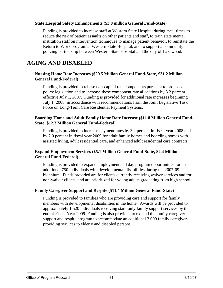#### **State Hospital Safety Enhancements (\$3.8 million General Fund-State)**

Funding is provided to increase staff at Western State Hospital during meal times to reduce the risk of patient assaults on other patients and staff, to train state mental institution staff on intervention techniques to manage patient behavior, to reinstate the Return to Work program at Western State Hospital, and to support a community policing partnership between Western State Hospital and the city of Lakewood.

## **AGING AND DISABLED**

#### **Nursing Home Rate Increases (\$29.5 Million General Fund-State, \$31.2 Million General Fund-Federal)**

Funding is provided to rebase non-capital rate components pursuant to proposed policy legislation and to increase these component rate allocations by 3.2 percent effective July 1, 2007. Funding is provided for additional rate increases beginning July 1, 2008, in accordance with recommendations from the Joint Legislative Task Force on Long-Term Care Residential Payment Systems.

#### **Boarding Home and Adult Family Home Rate Increase (\$11.8 Million General Fund-State, \$12.3 Million General Fund-Federal)**

Funding is provided to increase payment rates by 3.2 percent in fiscal year 2008 and by 2.0 percent in fiscal year 2009 for adult family homes and boarding homes with assisted living, adult residential care, and enhanced adult residential care contracts.

#### **Expand Employment Services (\$5.1 Million General Fund-State, \$2.4 Million General Fund-Federal)**

Funding is provided to expand employment and day program opportunities for an additional 750 individuals with developmental disabilities during the 2007-09 biennium. Funds provided are for clients currently receiving waiver services and for non-waiver clients, and are prioritized for young adults graduating from high school.

#### **Family Caregiver Support and Respite (\$11.4 Million General Fund-State)**

Funding is provided to families who are providing care and support for family members with developmental disabilities in the home. Awards will be provided to approximately 1,520 individuals receiving state-only family support services by the end of Fiscal Year 2009. Funding is also provided to expand the family caregiver support and respite program to accommodate an additional 2,000 family caregivers providing services to elderly and disabled persons.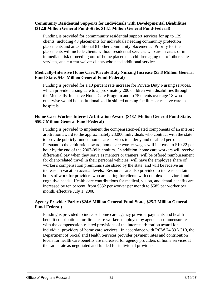#### **Community Residential Supports for Individuals with Developmental Disabilities (\$12.8 Million General Fund-State, \$13.1 Million General Fund-Federal)**

Funding is provided for commmunity residential support services for up to 129 clients, including 48 placements for individuals needing community protection placements and an additional 81 other community placements. Priority for the placements will include clients without residential services who are in crisis or in immediate risk of needing out-of-home placement, children aging out of other state services, and current waiver clients who need additional services.

#### **Medically-Intensive Home Care/Private Duty Nursing Increase (\$3.8 Million General Fund-State, \$4.0 Million General Fund-Federal)**

Funding is provided for a 10 percent rate increase for Private Duty Nursing services, which provide nursing care to approximately 200 children with disabilities through the Medically-Intensive Home Care Program and to 75 clients over age 18 who otherwise would be institutionalized in skilled nursing facilities or receive care in hospitals.

#### **Home Care Worker Interest Arbitration Award (\$48.1 Million General Fund-State, \$50.7 Million General Fund-Federal)**

Funding is provided to implement the compensation-related components of an interest arbitration award to the approximately 23,000 individuals who contract with the state to provide publicly funded home care services to elderly and disabled persons. Pursuant to the arbitration award, home care worker wages will increase to \$10.22 per hour by the end of the 2007-09 biennium. In addition, home care workers will receive differential pay when they serve as mentors or trainers; will be offered reimbursement for client-related travel in their personal vehicles; will have the employee share of worker's compensation premiums subsidized by the state; and will be receive an increase in vacation accrual levels. Resources are also provided to increase certain hours of work for providers who are caring for clients with complex behavioral and cognitive needs. Health care contributions for medical, vision, and dental benefits are increased by ten percent, from \$532 per worker per month to \$585 per worker per month, effective July 1, 2008.

#### **Agency Provider Parity (\$24.6 Million General Fund-State, \$25.7 Million General Fund-Federal)**

Funding is provided to increase home care agency provider payments and health benefit contributions for direct care workers employed by agencies commensurate with the compensation-related provisions of the interest arbitration award for individual providers of home care services. In accordance with RCW 74.39A.310, the Department of Social and Health Services provider payment rates and contribution levels for health care benefits are increased for agency providers of home services at the same rate as negotiated and funded for individual providers.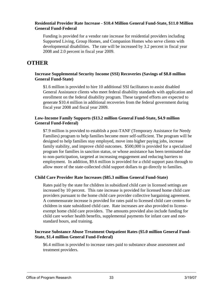#### **Residential Provider Rate Increase - \$10.4 Million General Fund-State, \$11.0 Million General Fund-Federal**

Funding is provided for a vendor rate increase for residential providers including Supported Living, Group Homes, and Companion Homes who serve clients with developmental disabilities. The rate will be increased by 3.2 percent in fiscal year 2008 and 2.0 percent in fiscal year 2009.

## **OTHER**

#### **Increase Supplemental Security Income (SSI) Recoveries (Savings of \$8.8 million General Fund-State)**

\$1.6 million is provided to hire 10 additional SSI facilitators to assist disabled General Assistance clients who meet federal disability standards with application and enrollment on the federal disability program. These targeted efforts are expected to generate \$10.4 million in additional recoveries from the federal government during fiscal year 2008 and fiscal year 2009.

#### **Low-Income Family Supports (\$13.2 million General Fund-State, \$4.9 million General Fund-Federal)**

\$7.9 million is provided to establish a post-TANF (Temporary Assistance for Needy Families) program to help families become more self-sufficient. The program will be designed to help families stay employed, move into higher paying jobs, increase family stability, and improve child outcomes. \$500,000 is provided for a specialized program for families in sanction status, or whose assistance has been terminated due to non-participation, targeted at increasing engagement and reducing barriers to employment. In addition, \$9.6 million is provided for a child support pass through to allow more of the state-collected child support dollars to go directly to families.

#### **Child Care Provider Rate Increases (\$85.3 million General Fund-State)**

Rates paid by the state for children in subsidized child care in licensed settings are increased by 10 percent. This rate increase is provided for licensed home child care providers pursuant to the home child care provider collective bargaining agreement. A commensurate increase is provided for rates paid to licensed child care centers for children in state subsidized child care. Rate increases are also provided to licenseexempt home child care providers. The amounts provided also include funding for child care worker health benefits, supplemental payments for infant care and nonstandard hours, and training.

#### **Increase Substance Abuse Treatment Outpatient Rates (\$5.0 million General Fund-State, \$1.4 million General Fund-Federal)**

\$6.4 million is provided to increase rates paid to substance abuse assessment and treatment providers.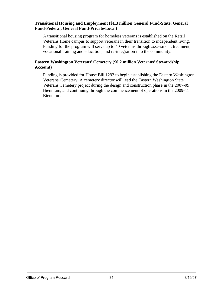#### **Transitional Housing and Employment (\$1.3 million General Fund-State, General Fund-Federal, General Fund-Private/Local)**

A transitional housing program for homeless veterans is established on the Retsil Veterans Home campus to support veterans in their transition to independent living. Funding for the program will serve up to 40 veterans through assessment, treatment, vocational training and education, and re-integration into the community.

#### **Eastern Washington Veterans' Cemetery (\$0.2 million Veterans' Stewardship Account)**

Funding is provided for House Bill 1292 to begin establishing the Eastern Washington Veterans' Cemetery. A cemetery director will lead the Eastern Washington State Veterans Cemetery project during the design and construction phase in the 2007-09 Biennium, and continuing through the commencement of operations in the 2009-11 Biennium.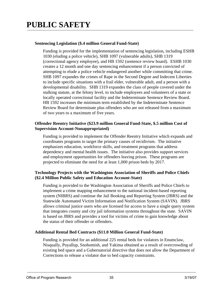#### **Sentencing Legislation (\$.4 million General Fund-State)**

Funding is provided for the implementation of sentencing legislation, including ESHB 1030 (eluding a police vehicle), SHB 1097 (vulnerable adults), SHB 1319 (correctional agency employee), and HB 1592 (sentence review board). ESHB 1030 creates a 12 month and one day sentencing enhancement if a person convicted of attempting to elude a police vehicle endangered another while committing that crime. SHB 1097 expandes the crimes of Rape in the Second Degree and Indecent Liberties to include specific situations with a frail elder, vulnerable adult, and a person with a developmental disability. SHB 1319 expandes the class of people covered under the stalking statute, at the felony level, to include employees and volunteers of a state or locally operated correctional facility and the Indeterminate Sentence Review Board. HB 1592 increases the minimum term established by the Indeterminate Sentence Review Board for determinate plus offenders who are not released from a maximum of two years to a maximum of five years.

#### **Offender Reentry Initiative (\$23.9 million General Fund-State, \$.5 million Cost of Supervision Account-Nonappropriated)**

Funding is provided to implement the Offender Reentry Initiative which expands and coordinates programs to target the primary causes of recidivism. The initiative emphasizes education, workforce skills, and treatment programs that address dependency and mental health issues. The initiative also provides support services and employment opportunities for offenders leaving prison. These programs are projected to eliminate the need for at least 1,000 prison beds by 2017.

#### **Technology Projects with the Washington Association of Sheriffs and Police Chiefs (\$2.4 Million Public Safety and Education Account-State)**

Funding is provided to the Washington Association of Sheriffs and Police Chiefs to implement a crime mapping enhancement to the national incident-based reporting system (NIBRS) and continue the Jail Booking and Reporting System (JBRS) and the Statewide Automated Victim Information and Notification System (SAVIN). JBRS allows criminal justice users who are licensed for access to have a single query system that integrates county and city jail information systems throughout the state. SAVIN is based on JBRS and provides a tool for victims of crime to gain knowledge about the status of their offender or offenders.

#### **Additional Rental Bed Contracts (\$11.0 Million General Fund-State)**

Funding is provided for an additional 225 rental beds for violators in Enumclaw, Nisqually, Puyallup, Snohomish, and Yakima obtained as a result of overcrowding of existing bed space and a Gubernatorial directive that does not allow the Department of Corrections to release a violator due to bed capacity constraints.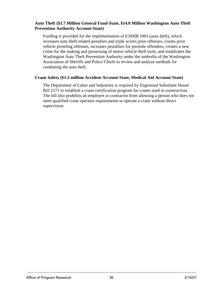#### **Auto Theft (\$1.7 Million General Fund-State, \$14.0 Million Washington Auto Theft Prevention Authority Account-State)**

Funding is provided for the implementation of E3SHB 1001 (auto theft), which increases auto theft-related penalties and triple scores prior offenses, counts prior vehicle prowling offenses, increases penalities for juvenile offenders, creates a new crime for the making and possessing of motor vehicle theft tools, and establishes the Washington Auto Theft Prevention Authority under the umbrella of the Washington Association of Sheriffs and Police Chiefs to review and analyze methods for combating the auto theft.

#### **Crane Safety (\$1.3 million Accident Account-State, Medical Aid Account-State)**

The Department of Labor and Industries is required by Engrossed Substitute House Bill 2171 to establish a crane certification program for cranes used in construction. The bill also prohibits an employer or contractor from allowing a person who does not meet qualified crane operator requirements to operate a crane without direct supervision.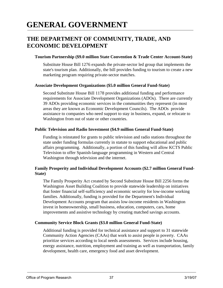## **GENERAL GOVERNMENT**

## **THE DEPARTMENT OF COMMUNITY, TRADE, AND ECONOMIC DEVELOPMENT**

#### **Tourism Partnership (\$9.0 million State Convention & Trade Center Account-State)**

Substitute House Bill 1276 expands the private-sector led group that implements the state's tourism plan. Additionally, the bill provides funding to tourism to create a new marketing program requiring private-sector matches.

#### **Associate Development Organizations (\$5.0 million General Fund-State)**

Second Substitute House Bill 1178 provides additional funding and performance requirements for Associate Development Organizations (ADOs). There are currently 39 ADOs providing economic services in the communities they represent (in most areas they are known as Economic Development Councils). The ADOs provide assistance to companies who need support to stay in business, expand, or relocate to Washington from out of state or other countries.

#### **Public Television and Radio Investment (\$4.9 million General Fund-State)**

Funding is reinstated for grants to public television and radio stations throughout the state under funding formulas currently in statute to support educational and public affairs programming. Additionally, a portion of this funding will allow KCTS Public Television to offer Spanish-language programming in Western and Central Washington through television and the internet.

#### **Family Prosperity and Individual Development Accounts (\$2.7 million General Fund-State)**

The Family Prosperity Act created by Second Substitute House Bill 2256 forms the Washington Asset Building Coalition to provide statewide leadership on initiatives that foster financial self-sufficiency and economic security for low-income working families. Additionally, funding is provided for the Department's Individual Development Accounts program that assists low-income residents in Washington invest in homeownership, small business, education, computers, cars, home improvements and assistive technology by creating matched savings accounts.

#### **Community Service Block Grants (\$3.0 million General Fund-State)**

Additional funding is provided for technical assistance and support to 31 statewide Community Action Agencies (CAAs) that work to assist people in poverty. CAAs prioritize services according to local needs assessments. Services include housing, energy assistance, nutrition, employment and training as well as transportation, family development, health care, emergency food and asset development.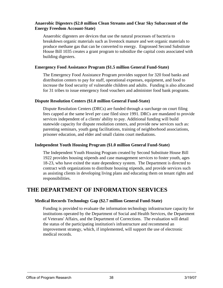#### **Anaerobic Digesters (\$2.0 million Clean Streams and Clear Sky Subaccount of the Energy Freedom Account-State)**

Anaerobic digesters are devices that use the natural processes of bacteria to breakdown organic materials such as livestock manure and wet organic materials to produce methane gas that can be converted to energy. Engrossed Second Substitute House Bill 1035 creates a grant program to subsidize the capital costs associated with building digesters.

#### **Emergency Food Assistance Program (\$1.5 million General Fund-State)**

The Emergency Food Assistance Program provides support for 320 food banks and distribution centers to pay for staff, operational expenses, equipment, and food to increase the food security of vulnerable children and adults. Funding is also allocated for 31 tribes to issue emergency food vouchers and administer food bank programs.

#### **Dispute Resolution Centers (\$1.0 million General Fund-State)**

Dispute Resolution Centers (DRCs) are funded through a surcharge on court filing fees capped at the same level per case filed since 1991. DRCs are mandated to provide services independent of a clients' ability to pay. Additional funding will build statewide capacity for dispute resolution centers, and provide new services such as: parenting seminars, youth gang facilitations, training of neighborhood associations, prisoner education, and elder and small claims court mediations.

#### **Independent Youth Housing Program (\$1.0 million General Fund-State)**

The Independent Youth Housing Program created by Second Substitute House Bill 1922 provides housing stipends and case management services to foster youth, ages 18-23, who have exited the state dependency system. The Department is directed to contract with organizations to distribute housing stipends, and provide services such as assisting clients in developing living plans and educating them on tenant rights and responsibilities.

## **THE DEPARTMENT OF INFORMATION SERVICES**

#### **Medical Records Technology Gap (\$2.7 million General Fund-State)**

Funding is provided to evaluate the information technology infrastructure capacity for institutions operated by the Department of Social and Health Services, the Department of Veterans' Affairs, and the Department of Corrections. The evaluation will detail the status of the participating institution's infrastructure and recommend an improvement strategy, which, if implemented, will support the use of electronic medical records.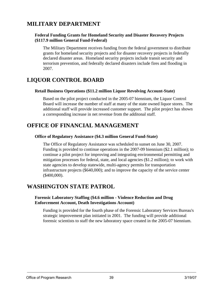## **MILITARY DEPARTMENT**

#### **Federal Funding Grants for Homeland Security and Disaster Recovery Projects (\$117.9 million General Fund-Federal)**

The Military Department receives funding from the federal government to distribute grants for homeland security projects and for disaster recovery projects in federally declared disaster areas. Homeland security projects include transit security and terrorism prevention, and federally declared disasters include fires and flooding in 2007.

## **LIQUOR CONTROL BOARD**

#### **Retail Business Operations (\$11.2 million Liquor Revolving Account-State)**

Based on the pilot project conducted in the 2005-07 biennium, the Liquor Control Board will increase the number of staff at many of the state owned liquor stores. The additional staff will provide increased customer support. The pilot project has shown a corresponding increase in net revenue from the additonal staff.

## **OFFICE OF FINANCIAL MANAGEMENT**

#### **Office of Regulatory Assistance (\$4.3 million General Fund-State)**

The Office of Regulatory Assistance was scheduled to sunset on June 30, 2007. Funding is provided to continue operations in the 2007-09 biennium (\$2.1 million); to continue a pilot project for improving and integrating environmental permitting and mitigation processes for federal, state, and local agencies (\$1.2 million); to work with state agencies to develop statewide, multi-agency permits for transportation infrastructure projects (\$640,000); and to improve the capacity of the service center (\$400,000).

## **WASHINGTON STATE PATROL**

#### **Forensic Laboratory Staffing (\$4.6 million - Violence Reduction and Drug Enforcement Account, Death Investigations Account)**

Funding is provided for the fourth phase of the Forensic Laboratory Services Bureau's strategic improvement plan initiated in 2001. The funding will provide additional forensic scientists to staff the new laboratory space created in the 2005-07 biennium.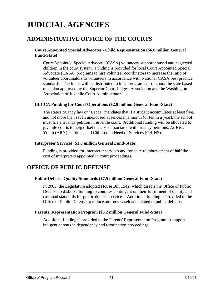## **JUDICIAL AGENCIES**

## **ADMINISTRATIVE OFFICE OF THE COURTS**

#### **Court Appointed Special Advocates - Child Representation (\$6.0 million General Fund-State)**

Court Appointed Special Advocate (CASA) volunteers support abused and neglected children in the court system. Funding is provided for local Court Appointed Special Advocate (CASA) programs to hire volunteer coordinators to increase the ratio of volunteer coordinators to volunteers in accordance with National CASA best practice standards. The funds will be distributed to local programs throughout the state based on a plan approved by the Superior Court Judges' Association and the Washington Association of Juvenile Court Administrators.

#### **BECCA Funding for Court Operations (\$2.9 million General Fund-State)**

The state's truancy law or "Becca" mandates that if a student accumulates at least five, and not more than seven unexcused absences in a month (or ten in a year), the school must file a truancy petition in juvenile court. Additional funding will be allocated to juvenile courts to help offset the costs associated with truancy petitions, At-Risk Youth (ARY) petitions, and Children in Need of Services (CHINS).

#### **Interpreter Services (\$1.0 million General Fund-State)**

Funding is provided for interpreter services and for state reimbursement of half the cost of interpreters appointed in court proceedings.

### **OFFICE OF PUBLIC DEFENSE**

#### **Public Defense Quality Standards (\$7.5 million General Fund-State)**

In 2005, the Legislature adopted House Bill 1542, which directs the Office of Public Defense to disburse funding to counties contingent on their fulfillment of quality and caseload standards for public defense services. Additional funding is provided to the Office of Public Defense to reduce attorney caseloads related to public defense.

#### **Parents' Representation Program (\$5.2 million General Fund-State)**

Additional funding is provided to the Parents' Representation Program to support indigent parents in dependency and termination proceedings.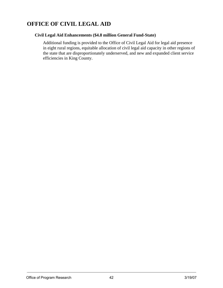## **OFFICE OF CIVIL LEGAL AID**

#### **Civil Legal Aid Enhancements (\$4.8 million General Fund-State)**

Additional funding is provided to the Office of Civil Legal Aid for legal aid presence in eight rural regions, equitable allocation of civil legal aid capacity in other regions of the state that are disproportionately underserved, and new and expanded client service efficiencies in King County.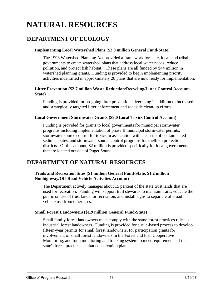## **NATURAL RESOURCES**

## **DEPARTMENT OF ECOLOGY**

#### **Implementing Local Watershed Plans (\$2.8 million General Fund-State)**

The 1998 Watershed Planning Act provided a framework for state, local, and tribal governments to create watershed plans that address local water needs, reduce pollution, and protect fish habitat. These plans are all funded by \$44 million in watershed planning grants. Funding is provided to begin implementing priority activities indentified in approximately 28 plans that are now ready for implementation.

#### **Litter Prevention (\$2.7 million Waste Reduction/Recycling/Litter Control Account-State)**

Funding is provided for on-going litter prevention advertising in addition to increased and strategically targeted litter enforcement and roadside clean-up efforts.

#### **Local Government Stormwater Grants (\$9.0 Local Toxics Control Account)**

Funding is provided for grants to local governments for municipal stormwater programs including implementation of phase II municipal stormwater permits, stormwater source control for toxics in association with clean-up of contaminated sediment sites, and stormwater source control programs for shellfish protection districts. Of this amount, \$2 million is provided specifically for local governments that are located outside of Puget Sound.

## **DEPARTMENT OF NATURAL RESOURCES**

#### **Trails and Recreation Sites (\$1 million General Fund-State, \$1.2 million Nonhighway/Off-Road Vehicle Activities Account)**

The Department actively manages about 15 percent of the state trust lands that are used for recreation. Funding will support trail stewards to maintain trails, educate the public on use of trust lands for recreation, and install signs to separtate off-road vehicle use from other uses.

#### **Small Forest Landowners (\$1.9 million General Fund-State)**

Small family forest landowners must comply with the same forest practices rules as industrial forest landowners. Funding is provided for a rule-based process to develop fifteen-year permits for small forest landowners, for participation grants for involvement of small forest landowners in the Forest and Fish Cooperative Monitoring, and for a monitoring and tracking system to meet requirements of the state's forest practices habitat conservation plan.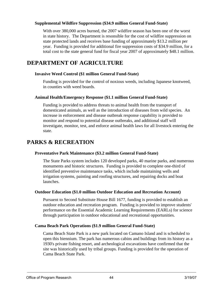#### **Supplemental Wildfire Suppression (\$34.9 million General Fund-State)**

With over 380,000 acres burned, the 2007 wildfire season has been one of the worst in state history. The Department is resonsible for the cost of wildfire suppression on state protected lands and receives base funding of approximately \$13.2 million per year. Funding is provided for additional fire suppression costs of \$34.9 million, for a total cost to the state general fund for fiscal year 2007 of approximately \$48.1 million.

## **DEPARTMENT OF AGRICULTURE**

#### **Invasive Weed Control (\$1 million General Fund-State)**

Funding is provided for the control of noxious weeds, including Japanese knotweed, in counties with weed boards.

#### **Animal Health/Emergency Response (\$1.1 million General Fund-State)**

Funding is provided to address threats to animal health from the transport of domesticated animals, as well as the introduction of diseases from wild species. An increase in enforcement and disease outbreak response capability is provided to monitor and respond to potential disease outbreaks, and additional staff will investigate, monitor, test, and enforce animal health laws for all livestock entering the state.

## **PARKS & RECREATION**

#### **Preventative Park Maintenance (\$3.2 million General Fund-State)**

The State Parks system includes 120 developed parks, 40 marine parks, and numerous monuments and historic structures. Funding is provided to complete one-third of identified preventive maintenance tasks, which include maintaining wells and irrigation systems, painting and roofing structures, and repairing docks and boat launches.

#### **Outdoor Education (\$1.0 million Outdoor Education and Recreation Account)**

Pursuent to Second Substitute House Bill 1677, funding is provided to establish an outdoor education and recreation program. Funding is provided to improve students' performance on the Essential Academic Learning Requirements (EARLs) for science through participation in outdoor educational and recreational opportunities.

#### **Cama Beach Park Operations (\$1.9 million General Fund-State)**

Cama Beach State Park is a new park located on Camano Island and is scheduled to open this biennium. The park has numerous cabins and buildings from its history as a 1930's private fishing resort, and archeological excavations have confirmed that the site was historically used by tribal groups. Funding is provided for the operation of Cama Beach State Park.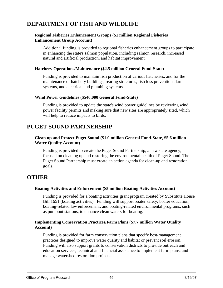## **DEPARTMENT OF FISH AND WILDLIFE**

#### **Regional Fisheries Enhancement Groups (\$1 million Regional Fisheries Enhancement Group Account)**

Additional funding is provided to regional fisheries enhancement groups to participate in enhancing the state's salmon population, including salmon research, increased natural and artificial production, and habitat improvement.

#### **Hatchery Operations/Maintenance (\$2.5 million General Fund-State)**

Funding is provided to maintain fish production at various hatcheries, and for the maintenance of hatchery buildings, rearing structures, fish loss prevention alarm systems, and electrical and plumbing systems.

#### **Wind Power Guidelines (\$540,000 General Fund-State)**

Funding is provided to update the state's wind power guidelines by reviewing wind power facility permits and making sure that new sites are appropriately sited, which will help to reduce impacts to birds.

### **PUGET SOUND PARTNERSHIP**

#### **Clean up and Protect Puget Sound (\$1.0 million General Fund-State, \$5.6 million Water Quality Account)**

Funding is provided to create the Puget Sound Partnership, a new state agency, focused on cleaning up and restoring the environmental health of Puget Sound. The Puget Sound Partnership must create an action agenda for clean-up and restoration goals.

### **OTHER**

#### **Boating Activities and Enforcement (\$5 million Boating Activities Account)**

Funding is provided for a boating activities grant program created by Substitute House Bill 1651 (boating activities). Funding will support boater safety, boater education, boating-related law enforcement, and boating-related environmental programs, such as pumpout stations, to enhance clean waters for boating.

#### **Implementing Conservation Practices/Farm Plans (\$7.7 million Water Quality Account)**

Funding is provided for farm conservation plans that specify best-management practices designed to improve water quality and habitat or prevent soil erosion. Funding will also support grants to conservation districts to provide outreach and education services, technical and financial assistance to implement farm plans, and manage watershed restoration projects.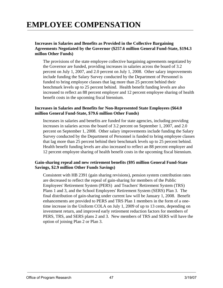## **EMPLOYEE COMPENSATION**

#### **Increases in Salaries and Benefits as Provided in the Collective Bargaining Agreements Negotiated by the Governor (\$257.6 million General Fund-State, \$194.3 millon Other Funds)**

The provisions of the state employee collective bargaining agreements negotiated by the Governor are funded, providing increases in salaries across the board of 3.2 percent on July 1, 2007, and 2.0 percent on July 1, 2008. Other salary improvements include funding the Salary Survey conducted by the Department of Personnel is funded to bring employee classes that lag more than 25 percent behind their benchmark levels up to 25 percent behind. Health benefit funding levels are also increased to reflect an 88 percent employer and 12 percent employee sharing of health benefit costs in the upcoming fiscal biennium.

#### **Increases in Salaries and Benefits for Non-Represented State Employees (\$64.0 million General Fund-State, \$79.6 million Other Funds)**

Increases in salaries and benefits are funded for state agencies, including providing increases in salaries across the board of 3.2 percent on September 1, 2007, and 2.0 percent on September 1, 2008. Other salary improvements include funding the Salary Survey conducted by the Department of Personnel is funded to bring employee classes that lag more than 25 percent behind their benchmark levels up to 25 percent behind. Health benefit funding levels are also increased to reflect an 88 percent employer and 12 percent employee sharing of health benefit costs in the upcoming fiscal biennium.

#### **Gain-sharing repeal and new retirement benefits (\$95 million General Fund-State Savings, \$2.9 million Other Funds Savings)**

Consistent with HB 2391 (gain sharing revisions), pension system contribution rates are decreased to reflect the repeal of gain-sharing for members of the Public Employees' Retirement System (PERS) and Teachers' Retirement System (TRS) Plans 1 and 3, and the School Employees' Retirement System (SERS) Plan 3. The final distribution of gain-sharing under current law will be January 1, 2008. Benefit enhancements are provided to PERS and TRS Plan 1 members in the form of a onetime increase in the Uniform COLA on July 1, 2009 of up to 13 cents, depending on investment return, and improved early retirement reduction factors for members of PERS, TRS, and SERS plans 2 and 3. New members of TRS and SERS will have the option of joining Plan 2 or Plan 3.